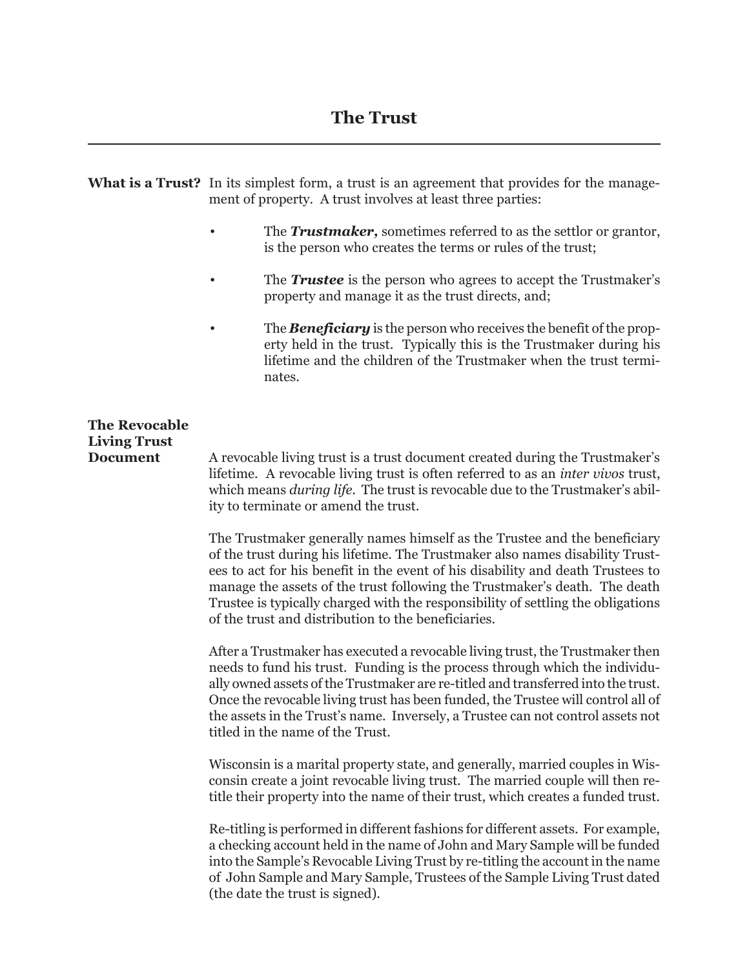## **The Trust**

**What is a Trust?** In its simplest form, a trust is an agreement that provides for the management of property. A trust involves at least three parties:

- The **Trustmaker**, sometimes referred to as the settlor or grantor, is the person who creates the terms or rules of the trust;
- The *Trustee* is the person who agrees to accept the Trustmaker's property and manage it as the trust directs, and;
- The *Beneficiary* is the person who receives the benefit of the property held in the trust. Typically this is the Trustmaker during his lifetime and the children of the Trustmaker when the trust terminates.

## **The Revocable Living Trust**

**Document** A revocable living trust is a trust document created during the Trustmaker's lifetime. A revocable living trust is often referred to as an *inter vivos* trust, which means *during life*. The trust is revocable due to the Trustmaker's ability to terminate or amend the trust.

> The Trustmaker generally names himself as the Trustee and the beneficiary of the trust during his lifetime. The Trustmaker also names disability Trustees to act for his benefit in the event of his disability and death Trustees to manage the assets of the trust following the Trustmaker's death. The death Trustee is typically charged with the responsibility of settling the obligations of the trust and distribution to the beneficiaries.

> After a Trustmaker has executed a revocable living trust, the Trustmaker then needs to fund his trust. Funding is the process through which the individually owned assets of the Trustmaker are re-titled and transferred into the trust. Once the revocable living trust has been funded, the Trustee will control all of the assets in the Trust's name. Inversely, a Trustee can not control assets not titled in the name of the Trust.

> Wisconsin is a marital property state, and generally, married couples in Wisconsin create a joint revocable living trust. The married couple will then retitle their property into the name of their trust, which creates a funded trust.

> Re-titling is performed in different fashions for different assets. For example, a checking account held in the name of John and Mary Sample will be funded into the Sample's Revocable Living Trust by re-titling the account in the name of John Sample and Mary Sample, Trustees of the Sample Living Trust dated (the date the trust is signed).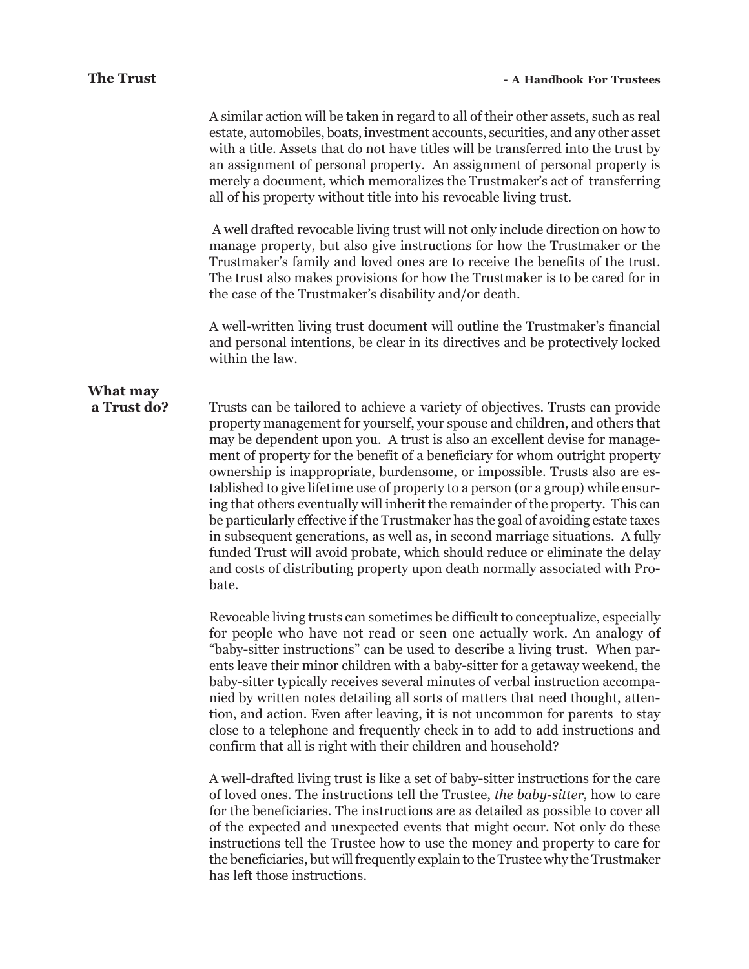A similar action will be taken in regard to all of their other assets, such as real estate, automobiles, boats, investment accounts, securities, and any other asset with a title. Assets that do not have titles will be transferred into the trust by an assignment of personal property. An assignment of personal property is merely a document, which memoralizes the Trustmaker's act of transferring all of his property without title into his revocable living trust.

 A well drafted revocable living trust will not only include direction on how to manage property, but also give instructions for how the Trustmaker or the Trustmaker's family and loved ones are to receive the benefits of the trust. The trust also makes provisions for how the Trustmaker is to be cared for in the case of the Trustmaker's disability and/or death.

A well-written living trust document will outline the Trustmaker's financial and personal intentions, be clear in its directives and be protectively locked within the law.

# **What may**

**a Trust do?** Trusts can be tailored to achieve a variety of objectives. Trusts can provide property management for yourself, your spouse and children, and others that may be dependent upon you. A trust is also an excellent devise for management of property for the benefit of a beneficiary for whom outright property ownership is inappropriate, burdensome, or impossible. Trusts also are established to give lifetime use of property to a person (or a group) while ensuring that others eventually will inherit the remainder of the property. This can be particularly effective if the Trustmaker has the goal of avoiding estate taxes in subsequent generations, as well as, in second marriage situations. A fully funded Trust will avoid probate, which should reduce or eliminate the delay and costs of distributing property upon death normally associated with Probate.

> Revocable living trusts can sometimes be difficult to conceptualize, especially for people who have not read or seen one actually work. An analogy of "baby-sitter instructions" can be used to describe a living trust. When parents leave their minor children with a baby-sitter for a getaway weekend, the baby-sitter typically receives several minutes of verbal instruction accompanied by written notes detailing all sorts of matters that need thought, attention, and action. Even after leaving, it is not uncommon for parents to stay close to a telephone and frequently check in to add to add instructions and confirm that all is right with their children and household?

> A well-drafted living trust is like a set of baby-sitter instructions for the care of loved ones. The instructions tell the Trustee, *the baby-sitter*, how to care for the beneficiaries. The instructions are as detailed as possible to cover all of the expected and unexpected events that might occur. Not only do these instructions tell the Trustee how to use the money and property to care for the beneficiaries, but will frequently explain to the Trustee why the Trustmaker has left those instructions.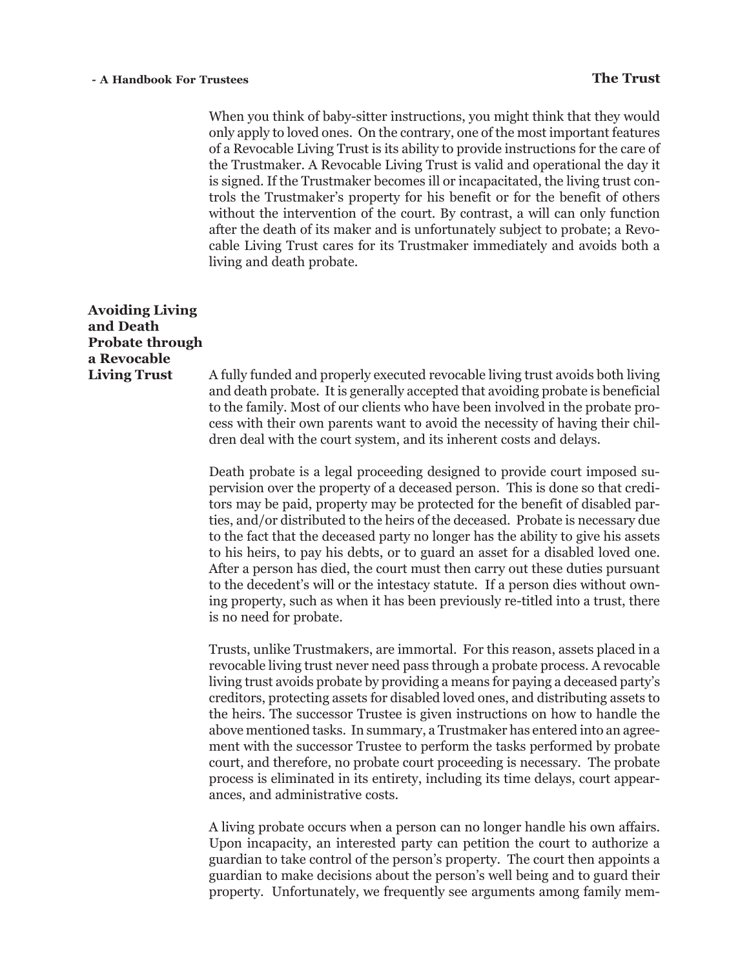When you think of baby-sitter instructions, you might think that they would only apply to loved ones. On the contrary, one of the most important features of a Revocable Living Trust is its ability to provide instructions for the care of the Trustmaker. A Revocable Living Trust is valid and operational the day it is signed. If the Trustmaker becomes ill or incapacitated, the living trust controls the Trustmaker's property for his benefit or for the benefit of others without the intervention of the court. By contrast, a will can only function after the death of its maker and is unfortunately subject to probate; a Revocable Living Trust cares for its Trustmaker immediately and avoids both a living and death probate.

## **Avoiding Living and Death Probate through a Revocable**

**Living Trust** A fully funded and properly executed revocable living trust avoids both living and death probate. It is generally accepted that avoiding probate is beneficial to the family. Most of our clients who have been involved in the probate process with their own parents want to avoid the necessity of having their children deal with the court system, and its inherent costs and delays.

> Death probate is a legal proceeding designed to provide court imposed supervision over the property of a deceased person. This is done so that creditors may be paid, property may be protected for the benefit of disabled parties, and/or distributed to the heirs of the deceased. Probate is necessary due to the fact that the deceased party no longer has the ability to give his assets to his heirs, to pay his debts, or to guard an asset for a disabled loved one. After a person has died, the court must then carry out these duties pursuant to the decedent's will or the intestacy statute. If a person dies without owning property, such as when it has been previously re-titled into a trust, there is no need for probate.

> Trusts, unlike Trustmakers, are immortal. For this reason, assets placed in a revocable living trust never need pass through a probate process. A revocable living trust avoids probate by providing a means for paying a deceased party's creditors, protecting assets for disabled loved ones, and distributing assets to the heirs. The successor Trustee is given instructions on how to handle the above mentioned tasks. In summary, a Trustmaker has entered into an agreement with the successor Trustee to perform the tasks performed by probate court, and therefore, no probate court proceeding is necessary. The probate process is eliminated in its entirety, including its time delays, court appearances, and administrative costs.

> A living probate occurs when a person can no longer handle his own affairs. Upon incapacity, an interested party can petition the court to authorize a guardian to take control of the person's property. The court then appoints a guardian to make decisions about the person's well being and to guard their property. Unfortunately, we frequently see arguments among family mem-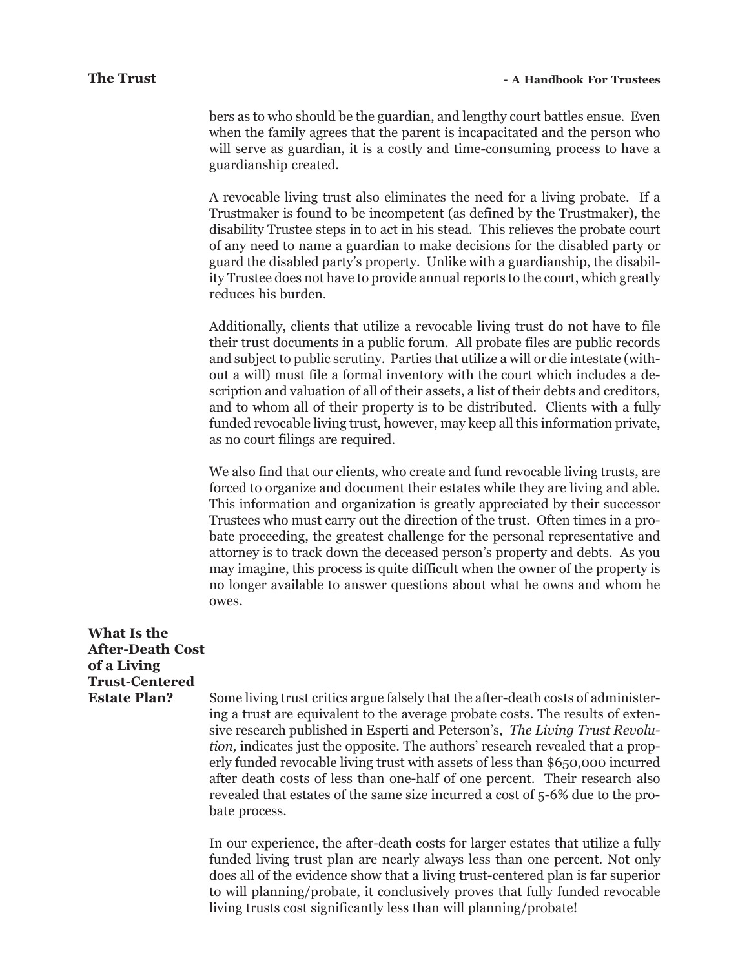bers as to who should be the guardian, and lengthy court battles ensue. Even when the family agrees that the parent is incapacitated and the person who will serve as guardian, it is a costly and time-consuming process to have a guardianship created.

A revocable living trust also eliminates the need for a living probate. If a Trustmaker is found to be incompetent (as defined by the Trustmaker), the disability Trustee steps in to act in his stead. This relieves the probate court of any need to name a guardian to make decisions for the disabled party or guard the disabled party's property. Unlike with a guardianship, the disability Trustee does not have to provide annual reports to the court, which greatly reduces his burden.

Additionally, clients that utilize a revocable living trust do not have to file their trust documents in a public forum. All probate files are public records and subject to public scrutiny. Parties that utilize a will or die intestate (without a will) must file a formal inventory with the court which includes a description and valuation of all of their assets, a list of their debts and creditors, and to whom all of their property is to be distributed. Clients with a fully funded revocable living trust, however, may keep all this information private, as no court filings are required.

We also find that our clients, who create and fund revocable living trusts, are forced to organize and document their estates while they are living and able. This information and organization is greatly appreciated by their successor Trustees who must carry out the direction of the trust. Often times in a probate proceeding, the greatest challenge for the personal representative and attorney is to track down the deceased person's property and debts. As you may imagine, this process is quite difficult when the owner of the property is no longer available to answer questions about what he owns and whom he owes.

| What Is the             |                                                                                                                                                                                                                                                                                                                                                                                                                                                                                                                                                                                                 |
|-------------------------|-------------------------------------------------------------------------------------------------------------------------------------------------------------------------------------------------------------------------------------------------------------------------------------------------------------------------------------------------------------------------------------------------------------------------------------------------------------------------------------------------------------------------------------------------------------------------------------------------|
| <b>After-Death Cost</b> |                                                                                                                                                                                                                                                                                                                                                                                                                                                                                                                                                                                                 |
| of a Living             |                                                                                                                                                                                                                                                                                                                                                                                                                                                                                                                                                                                                 |
| <b>Trust-Centered</b>   |                                                                                                                                                                                                                                                                                                                                                                                                                                                                                                                                                                                                 |
| <b>Estate Plan?</b>     | Some living trust critics argue falsely that the after-death costs of administer-<br>ing a trust are equivalent to the average probate costs. The results of exten-<br>sive research published in Esperti and Peterson's, The Living Trust Revolu-<br><i>tion</i> , indicates just the opposite. The authors' research revealed that a prop-<br>erly funded revocable living trust with assets of less than \$650,000 incurred<br>after death costs of less than one-half of one percent. Their research also<br>revealed that estates of the same size incurred a cost of 5-6% due to the pro- |

bate process.

In our experience, the after-death costs for larger estates that utilize a fully funded living trust plan are nearly always less than one percent. Not only does all of the evidence show that a living trust-centered plan is far superior to will planning/probate, it conclusively proves that fully funded revocable living trusts cost significantly less than will planning/probate!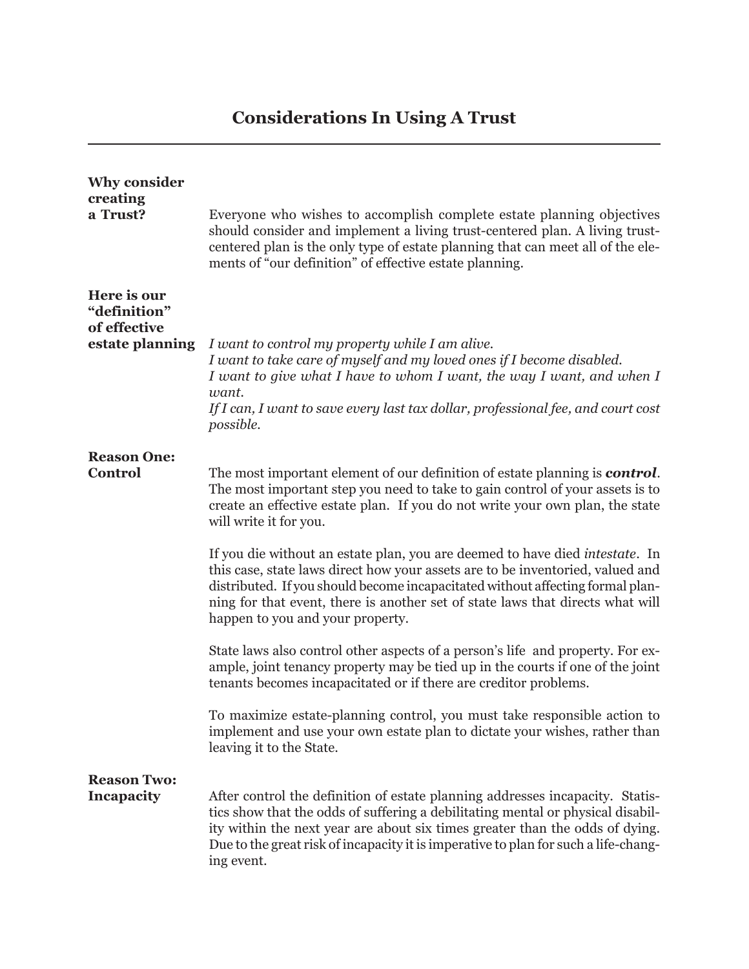## **Considerations In Using A Trust**

| <b>Why consider</b><br>creating<br>a Trust?                    | Everyone who wishes to accomplish complete estate planning objectives<br>should consider and implement a living trust-centered plan. A living trust-<br>centered plan is the only type of estate planning that can meet all of the ele-<br>ments of "our definition" of effective estate planning.                                                                     |
|----------------------------------------------------------------|------------------------------------------------------------------------------------------------------------------------------------------------------------------------------------------------------------------------------------------------------------------------------------------------------------------------------------------------------------------------|
| Here is our<br>"definition"<br>of effective<br>estate planning | I want to control my property while I am alive.<br>I want to take care of myself and my loved ones if I become disabled.<br>I want to give what I have to whom I want, the way I want, and when I<br>want.<br>If I can, I want to save every last tax dollar, professional fee, and court cost                                                                         |
| <b>Reason One:</b><br><b>Control</b>                           | possible.<br>The most important element of our definition of estate planning is <b>control</b> .<br>The most important step you need to take to gain control of your assets is to<br>create an effective estate plan. If you do not write your own plan, the state<br>will write it for you.                                                                           |
|                                                                | If you die without an estate plan, you are deemed to have died intestate. In<br>this case, state laws direct how your assets are to be inventoried, valued and<br>distributed. If you should become incapacitated without affecting formal plan-<br>ning for that event, there is another set of state laws that directs what will<br>happen to you and your property. |
|                                                                | State laws also control other aspects of a person's life and property. For ex-<br>ample, joint tenancy property may be tied up in the courts if one of the joint<br>tenants becomes incapacitated or if there are creditor problems.                                                                                                                                   |
|                                                                | To maximize estate-planning control, you must take responsible action to<br>implement and use your own estate plan to dictate your wishes, rather than<br>leaving it to the State.                                                                                                                                                                                     |
| <b>Reason Two:</b><br><b>Incapacity</b>                        | After control the definition of estate planning addresses incapacity. Statis-<br>tics show that the odds of suffering a debilitating mental or physical disabil-<br>ity within the next year are about six times greater than the odds of dying.<br>Due to the great risk of incapacity it is imperative to plan for such a life-chang-<br>ing event.                  |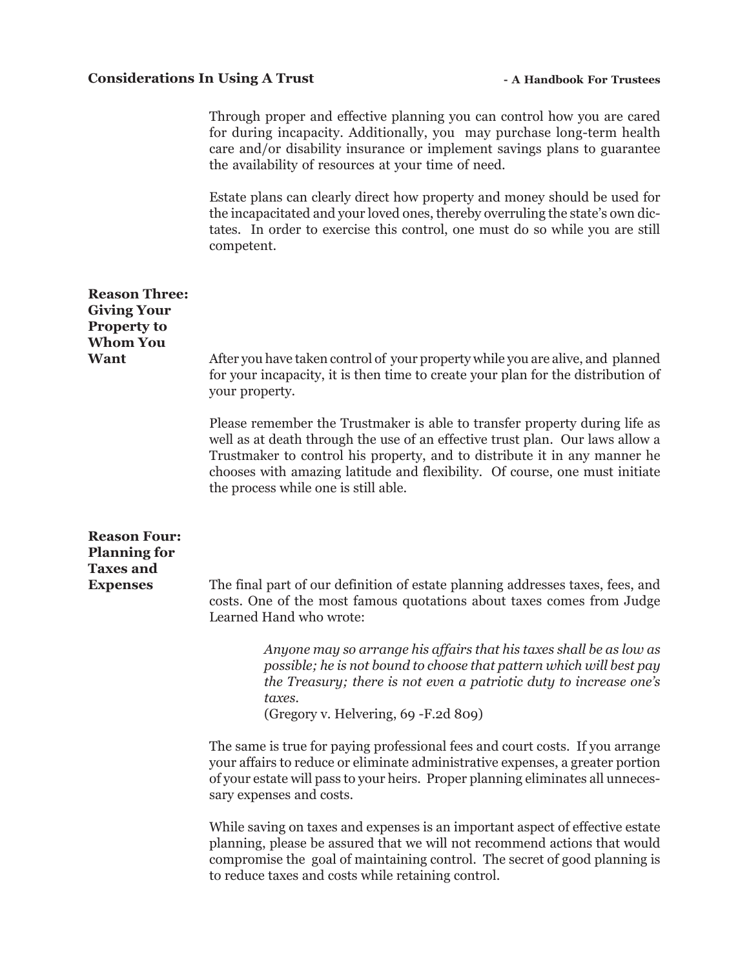### Considerations In Using A Trust **- A Handbook For Trustees**

Through proper and effective planning you can control how you are cared for during incapacity. Additionally, you may purchase long-term health care and/or disability insurance or implement savings plans to guarantee the availability of resources at your time of need.

Estate plans can clearly direct how property and money should be used for the incapacitated and your loved ones, thereby overruling the state's own dictates. In order to exercise this control, one must do so while you are still competent.

| <b>Reason Three:</b><br><b>Giving Your</b><br><b>Property to</b><br><b>Whom You</b><br>Want | After you have taken control of your property while you are alive, and planned<br>for your incapacity, it is then time to create your plan for the distribution of                                                                                                                                                                                              |
|---------------------------------------------------------------------------------------------|-----------------------------------------------------------------------------------------------------------------------------------------------------------------------------------------------------------------------------------------------------------------------------------------------------------------------------------------------------------------|
|                                                                                             | your property.                                                                                                                                                                                                                                                                                                                                                  |
|                                                                                             | Please remember the Trustmaker is able to transfer property during life as<br>well as at death through the use of an effective trust plan. Our laws allow a<br>Trustmaker to control his property, and to distribute it in any manner he<br>chooses with amazing latitude and flexibility. Of course, one must initiate<br>the process while one is still able. |
| <b>Reason Four:</b><br><b>Planning for</b><br><b>Taxes and</b><br><b>Expenses</b>           | The final part of our definition of estate planning addresses taxes, fees, and                                                                                                                                                                                                                                                                                  |
|                                                                                             | costs. One of the most famous quotations about taxes comes from Judge<br>Learned Hand who wrote:                                                                                                                                                                                                                                                                |
|                                                                                             | Anyone may so arrange his affairs that his taxes shall be as low as<br>possible; he is not bound to choose that pattern which will best pay<br>the Treasury; there is not even a patriotic duty to increase one's<br>taxes.<br>(Gregory v. Helvering, 69 - F.2d 809)                                                                                            |
|                                                                                             | The same is true for paying professional fees and court costs. If you arrange<br>your affairs to reduce or eliminate administrative expenses, a greater portion<br>of your estate will pass to your heirs. Proper planning eliminates all unneces-<br>sary expenses and costs.                                                                                  |
|                                                                                             | While saving on taxes and expenses is an important aspect of effective estate<br>planning, please be assured that we will not recommend actions that would<br>compromise the goal of maintaining control. The secret of good planning is<br>to reduce taxes and costs while retaining control.                                                                  |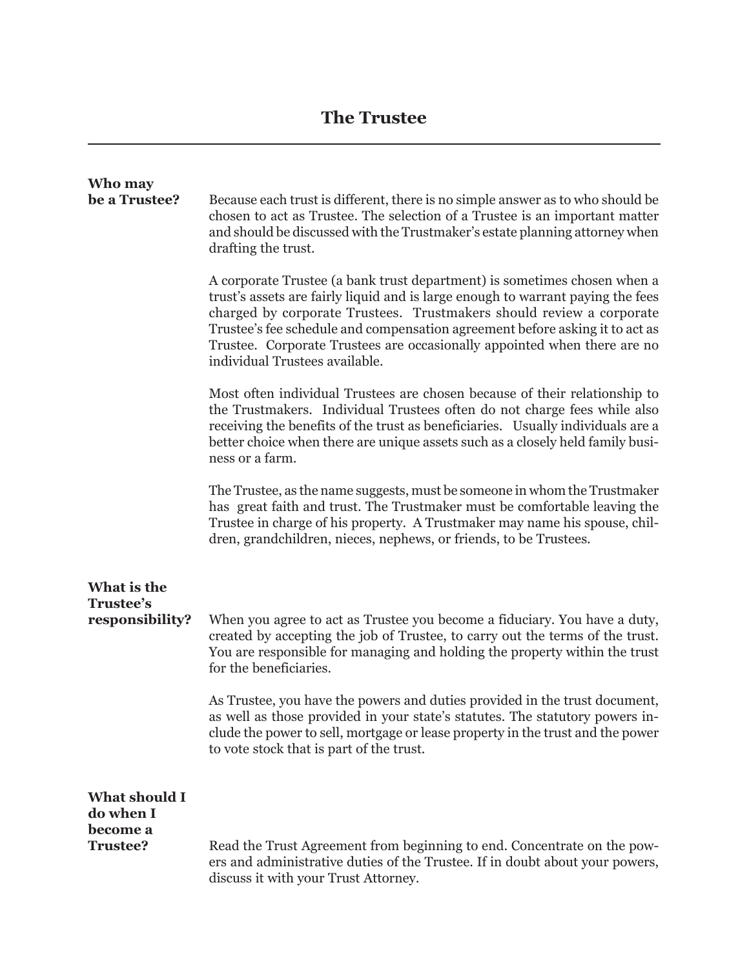## **The Trustee**

| Who may<br>be a Trustee?                 | Because each trust is different, there is no simple answer as to who should be<br>chosen to act as Trustee. The selection of a Trustee is an important matter<br>and should be discussed with the Trustmaker's estate planning attorney when<br>drafting the trust.                                                                                                                                                               |
|------------------------------------------|-----------------------------------------------------------------------------------------------------------------------------------------------------------------------------------------------------------------------------------------------------------------------------------------------------------------------------------------------------------------------------------------------------------------------------------|
|                                          | A corporate Trustee (a bank trust department) is sometimes chosen when a<br>trust's assets are fairly liquid and is large enough to warrant paying the fees<br>charged by corporate Trustees. Trustmakers should review a corporate<br>Trustee's fee schedule and compensation agreement before asking it to act as<br>Trustee. Corporate Trustees are occasionally appointed when there are no<br>individual Trustees available. |
|                                          | Most often individual Trustees are chosen because of their relationship to<br>the Trustmakers. Individual Trustees often do not charge fees while also<br>receiving the benefits of the trust as beneficiaries. Usually individuals are a<br>better choice when there are unique assets such as a closely held family busi-<br>ness or a farm.                                                                                    |
|                                          | The Trustee, as the name suggests, must be someone in whom the Trustmaker<br>has great faith and trust. The Trustmaker must be comfortable leaving the<br>Trustee in charge of his property. A Trustmaker may name his spouse, chil-<br>dren, grandchildren, nieces, nephews, or friends, to be Trustees.                                                                                                                         |
| What is the                              |                                                                                                                                                                                                                                                                                                                                                                                                                                   |
| Trustee's<br>responsibility?             | When you agree to act as Trustee you become a fiduciary. You have a duty,<br>created by accepting the job of Trustee, to carry out the terms of the trust.<br>You are responsible for managing and holding the property within the trust<br>for the beneficiaries.                                                                                                                                                                |
|                                          | As Trustee, you have the powers and duties provided in the trust document,<br>as well as those provided in your state's statutes. The statutory powers in-<br>clude the power to sell, mortgage or lease property in the trust and the power<br>to vote stock that is part of the trust.                                                                                                                                          |
| <b>What should I</b>                     |                                                                                                                                                                                                                                                                                                                                                                                                                                   |
| do when I<br>become a<br><b>Trustee?</b> | Read the Trust Agreement from beginning to end. Concentrate on the pow-<br>ers and administrative duties of the Trustee. If in doubt about your powers,<br>discuss it with your Trust Attorney.                                                                                                                                                                                                                                   |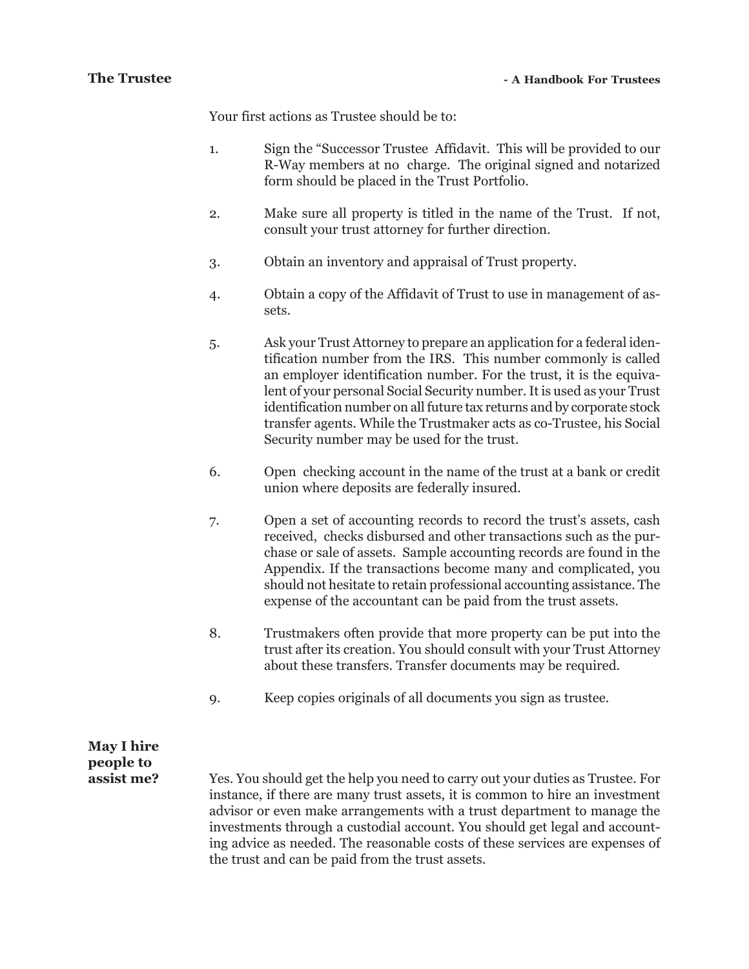Your first actions as Trustee should be to:

- 1. Sign the "Successor Trustee Affidavit. This will be provided to our R-Way members at no charge. The original signed and notarized form should be placed in the Trust Portfolio.
- 2. Make sure all property is titled in the name of the Trust. If not, consult your trust attorney for further direction.
- 3. Obtain an inventory and appraisal of Trust property.
- 4. Obtain a copy of the Affidavit of Trust to use in management of assets.
- 5. Ask your Trust Attorney to prepare an application for a federal identification number from the IRS. This number commonly is called an employer identification number. For the trust, it is the equivalent of your personal Social Security number. It is used as your Trust identification number on all future tax returns and by corporate stock transfer agents. While the Trustmaker acts as co-Trustee, his Social Security number may be used for the trust.
- 6. Open checking account in the name of the trust at a bank or credit union where deposits are federally insured.
- 7. Open a set of accounting records to record the trust's assets, cash received, checks disbursed and other transactions such as the purchase or sale of assets. Sample accounting records are found in the Appendix. If the transactions become many and complicated, you should not hesitate to retain professional accounting assistance. The expense of the accountant can be paid from the trust assets.
- 8. Trustmakers often provide that more property can be put into the trust after its creation. You should consult with your Trust Attorney about these transfers. Transfer documents may be required.
- 9. Keep copies originals of all documents you sign as trustee.

## **May I hire people to**

**assist me?** Yes. You should get the help you need to carry out your duties as Trustee. For instance, if there are many trust assets, it is common to hire an investment advisor or even make arrangements with a trust department to manage the investments through a custodial account. You should get legal and accounting advice as needed. The reasonable costs of these services are expenses of the trust and can be paid from the trust assets.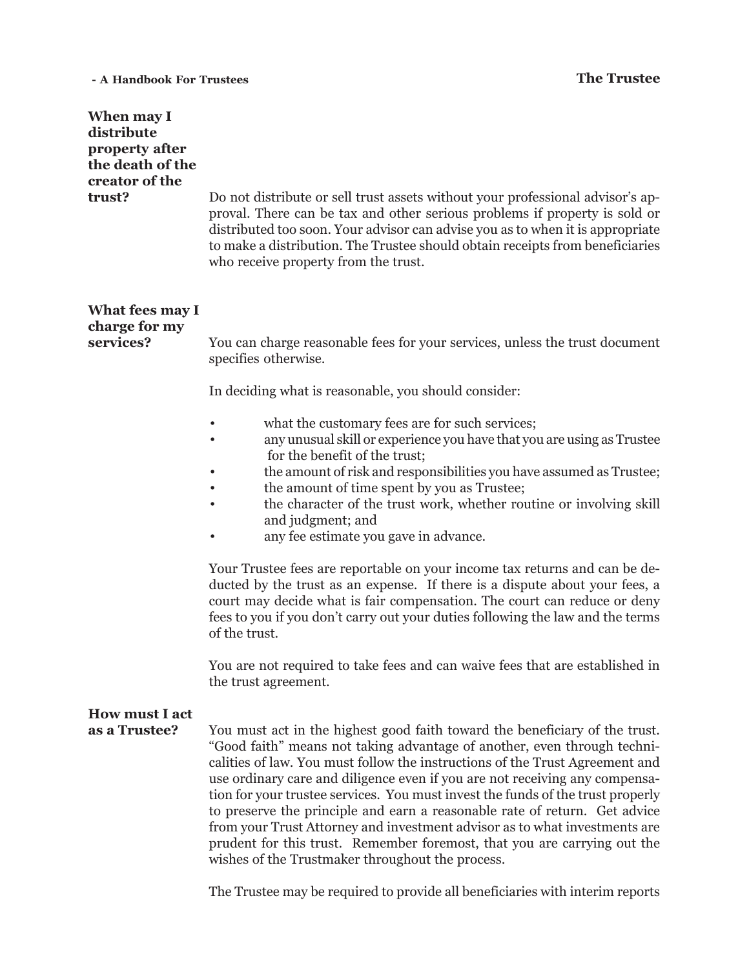### **- A Handbook For Trustees The Trustee**

| When may I<br>distribute<br>property after<br>the death of the<br>creator of the<br>trust? | Do not distribute or sell trust assets without your professional advisor's ap-<br>proval. There can be tax and other serious problems if property is sold or<br>distributed too soon. Your advisor can advise you as to when it is appropriate<br>to make a distribution. The Trustee should obtain receipts from beneficiaries<br>who receive property from the trust.                                                                                                                                                                                                                                                                                                                               |  |  |
|--------------------------------------------------------------------------------------------|-------------------------------------------------------------------------------------------------------------------------------------------------------------------------------------------------------------------------------------------------------------------------------------------------------------------------------------------------------------------------------------------------------------------------------------------------------------------------------------------------------------------------------------------------------------------------------------------------------------------------------------------------------------------------------------------------------|--|--|
| What fees may I<br>charge for my<br>services?                                              | You can charge reasonable fees for your services, unless the trust document<br>specifies otherwise.                                                                                                                                                                                                                                                                                                                                                                                                                                                                                                                                                                                                   |  |  |
|                                                                                            | In deciding what is reasonable, you should consider:                                                                                                                                                                                                                                                                                                                                                                                                                                                                                                                                                                                                                                                  |  |  |
|                                                                                            | what the customary fees are for such services;<br>any unusual skill or experience you have that you are using as Trustee<br>for the benefit of the trust;<br>the amount of risk and responsibilities you have assumed as Trustee;<br>the amount of time spent by you as Trustee;<br>the character of the trust work, whether routine or involving skill<br>and judgment; and<br>any fee estimate you gave in advance.                                                                                                                                                                                                                                                                                 |  |  |
|                                                                                            | Your Trustee fees are reportable on your income tax returns and can be de-<br>ducted by the trust as an expense. If there is a dispute about your fees, a<br>court may decide what is fair compensation. The court can reduce or deny<br>fees to you if you don't carry out your duties following the law and the terms<br>of the trust.                                                                                                                                                                                                                                                                                                                                                              |  |  |
|                                                                                            | You are not required to take fees and can waive fees that are established in<br>the trust agreement.                                                                                                                                                                                                                                                                                                                                                                                                                                                                                                                                                                                                  |  |  |
| <b>How must I act</b><br>as a Trustee?                                                     | You must act in the highest good faith toward the beneficiary of the trust.<br>"Good faith" means not taking advantage of another, even through techni-<br>calities of law. You must follow the instructions of the Trust Agreement and<br>use ordinary care and diligence even if you are not receiving any compensa-<br>tion for your trustee services. You must invest the funds of the trust properly<br>to preserve the principle and earn a reasonable rate of return. Get advice<br>from your Trust Attorney and investment advisor as to what investments are<br>prudent for this trust. Remember foremost, that you are carrying out the<br>wishes of the Trustmaker throughout the process. |  |  |

The Trustee may be required to provide all beneficiaries with interim reports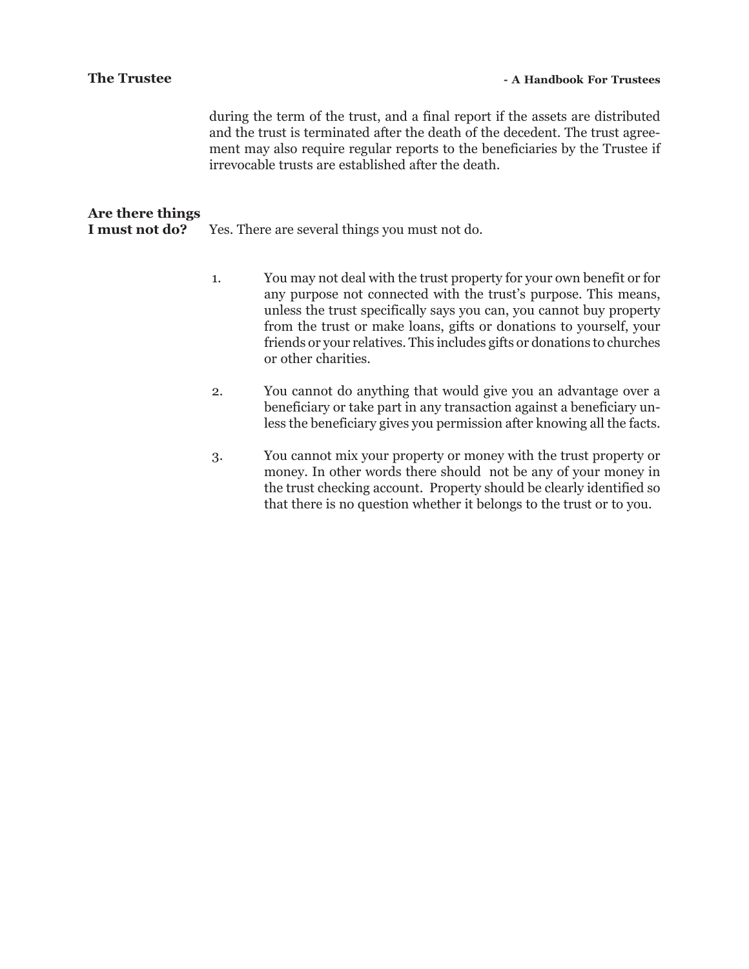| <b>The Trustee</b>                 |    | - A Handbook For Trustees                                                                                                                                                                                                                                                                                                                                                              |
|------------------------------------|----|----------------------------------------------------------------------------------------------------------------------------------------------------------------------------------------------------------------------------------------------------------------------------------------------------------------------------------------------------------------------------------------|
|                                    |    | during the term of the trust, and a final report if the assets are distributed<br>and the trust is terminated after the death of the decedent. The trust agree-<br>ment may also require regular reports to the beneficiaries by the Trustee if<br>irrevocable trusts are established after the death.                                                                                 |
| Are there things<br>I must not do? |    | Yes. There are several things you must not do.                                                                                                                                                                                                                                                                                                                                         |
|                                    | 1. | You may not deal with the trust property for your own benefit or for<br>any purpose not connected with the trust's purpose. This means,<br>unless the trust specifically says you can, you cannot buy property<br>from the trust or make loans, gifts or donations to yourself, your<br>friends or your relatives. This includes gifts or donations to churches<br>or other charities. |
|                                    | 2. | You cannot do anything that would give you an advantage over a<br>beneficiary or take part in any transaction against a beneficiary un-<br>less the beneficiary gives you permission after knowing all the facts.                                                                                                                                                                      |
|                                    | 3. | You cannot mix your property or money with the trust property or<br>money. In other words there should not be any of your money in                                                                                                                                                                                                                                                     |

the trust checking account. Property should be clearly identified so that there is no question whether it belongs to the trust or to you.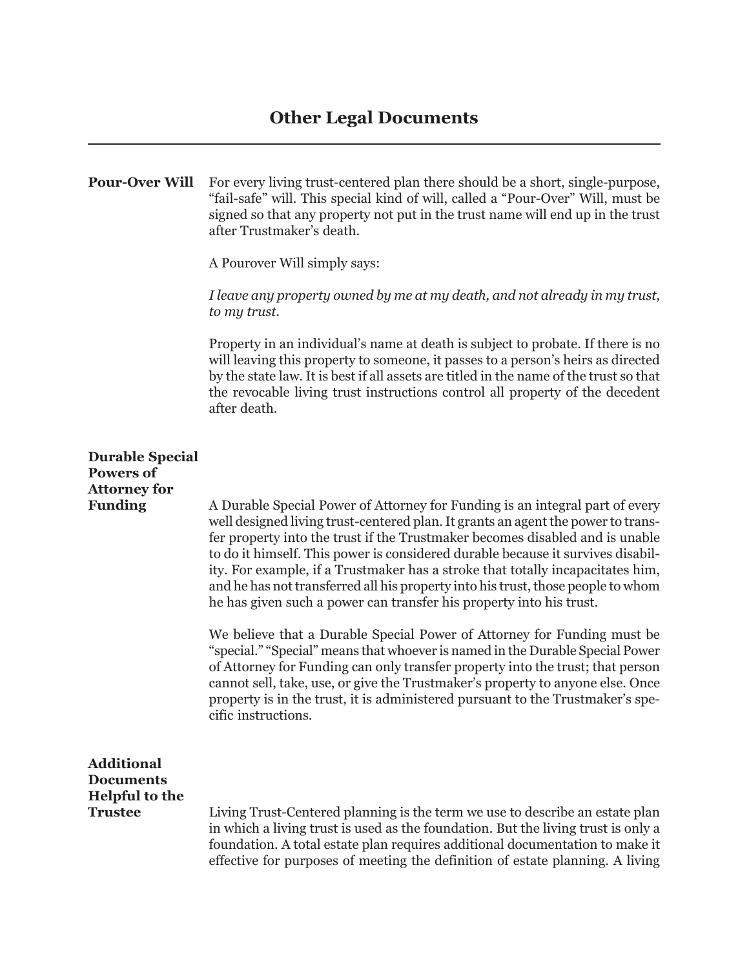## **Other Legal Documents**

**Pour-Over Will** For every living trust-centered plan there should be a short, single-purpose, "fail-safe" will. This special kind of will, called a "Pour-Over" Will, must be signed so that any property not put in the trust name will end up in the trust after Trustmaker's death.

A Pourover Will simply says:

*I leave any property owned by me at my death, and not already in my trust, to my trust.*

Property in an individual's name at death is subject to probate. If there is no will leaving this property to someone, it passes to a person's heirs as directed by the state law. It is best if all assets are titled in the name of the trust so that the revocable living trust instructions control all property of the decedent after death.

## **Durable Special Powers of Attorney for Funding** A Durable Special Power of Attorney for Funding is an integral part of every well designed living trust-centered plan. It grants an agent the power to transfer property into the trust if the Trustmaker becomes disabled and is unable to do it himself. This power is considered durable because it survives disability. For example, if a Trustmaker has a stroke that totally incapacitates him, and he has not transferred all his property into his trust, those people to whom he has given such a power can transfer his property into his trust. We believe that a Durable Special Power of Attorney for Funding must be "special." "Special" means that whoever is named in the Durable Special Power of Attorney for Funding can only transfer property into the trust; that person cannot sell, take, use, or give the Trustmaker's property to anyone else. Once property is in the trust, it is administered pursuant to the Trustmaker's specific instructions. **Additional Documents Helpful to the Trustee** Living Trust-Centered planning is the term we use to describe an estate plan in which a living trust is used as the foundation. But the living trust is only a foundation. A total estate plan requires additional documentation to make it effective for purposes of meeting the definition of estate planning. A living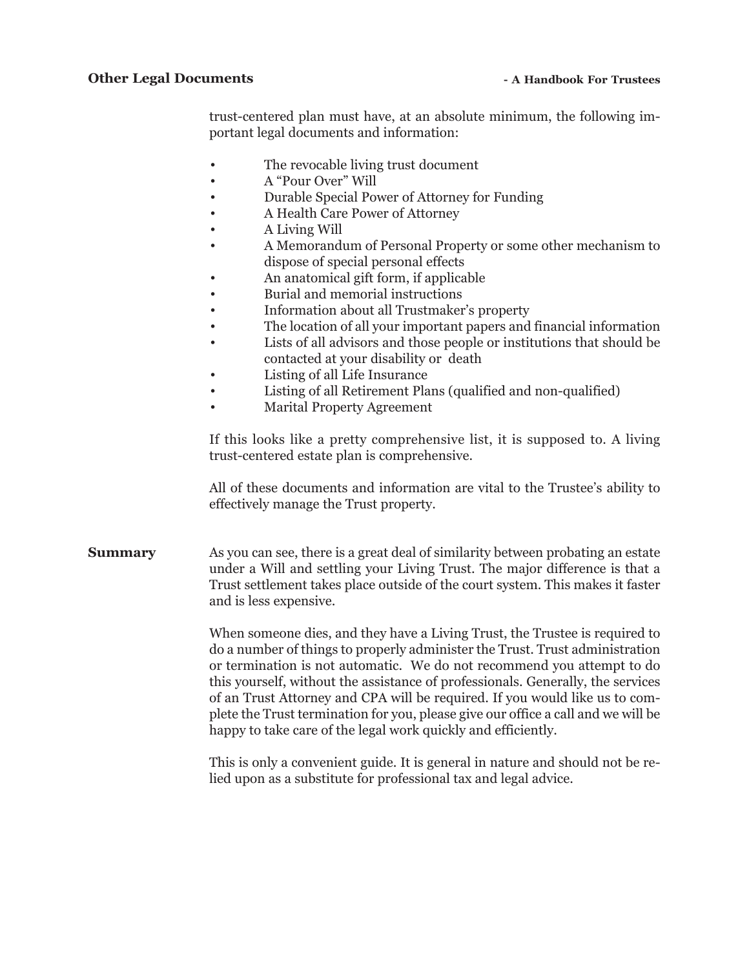trust-centered plan must have, at an absolute minimum, the following important legal documents and information:

- The revocable living trust document
- A "Pour Over" Will
- Durable Special Power of Attorney for Funding
- A Health Care Power of Attorney
- A Living Will
- A Memorandum of Personal Property or some other mechanism to dispose of special personal effects
- An anatomical gift form, if applicable
- Burial and memorial instructions
- Information about all Trustmaker's property
- The location of all your important papers and financial information
- Lists of all advisors and those people or institutions that should be contacted at your disability or death
- Listing of all Life Insurance
- Listing of all Retirement Plans (qualified and non-qualified)
- Marital Property Agreement

If this looks like a pretty comprehensive list, it is supposed to. A living trust-centered estate plan is comprehensive.

All of these documents and information are vital to the Trustee's ability to effectively manage the Trust property.

**Summary** As you can see, there is a great deal of similarity between probating an estate under a Will and settling your Living Trust. The major difference is that a Trust settlement takes place outside of the court system. This makes it faster and is less expensive.

> When someone dies, and they have a Living Trust, the Trustee is required to do a number of things to properly administer the Trust. Trust administration or termination is not automatic. We do not recommend you attempt to do this yourself, without the assistance of professionals. Generally, the services of an Trust Attorney and CPA will be required. If you would like us to complete the Trust termination for you, please give our office a call and we will be happy to take care of the legal work quickly and efficiently.

> This is only a convenient guide. It is general in nature and should not be relied upon as a substitute for professional tax and legal advice.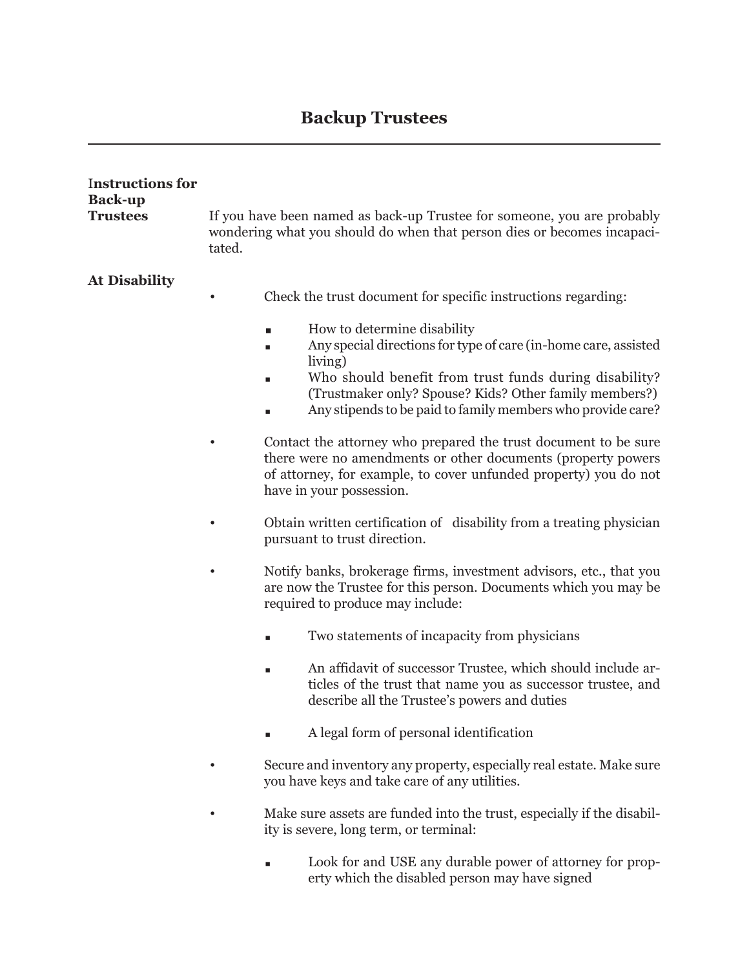## **Backup Trustees**

| <b>Instructions for</b><br><b>Back-up</b> |                                                                                                                                                              |                                                                                                                                                                                                                                                                                                   |  |  |
|-------------------------------------------|--------------------------------------------------------------------------------------------------------------------------------------------------------------|---------------------------------------------------------------------------------------------------------------------------------------------------------------------------------------------------------------------------------------------------------------------------------------------------|--|--|
| <b>Trustees</b>                           | If you have been named as back-up Trustee for someone, you are probably<br>wondering what you should do when that person dies or becomes incapaci-<br>tated. |                                                                                                                                                                                                                                                                                                   |  |  |
| <b>At Disability</b>                      |                                                                                                                                                              | Check the trust document for specific instructions regarding:                                                                                                                                                                                                                                     |  |  |
|                                           |                                                                                                                                                              | How to determine disability<br>ш<br>Any special directions for type of care (in-home care, assisted<br>living)<br>Who should benefit from trust funds during disability?<br>(Trustmaker only? Spouse? Kids? Other family members?)<br>Any stipends to be paid to family members who provide care? |  |  |
|                                           |                                                                                                                                                              | Contact the attorney who prepared the trust document to be sure<br>there were no amendments or other documents (property powers<br>of attorney, for example, to cover unfunded property) you do not<br>have in your possession.                                                                   |  |  |
|                                           |                                                                                                                                                              | Obtain written certification of disability from a treating physician<br>pursuant to trust direction.                                                                                                                                                                                              |  |  |
|                                           |                                                                                                                                                              | Notify banks, brokerage firms, investment advisors, etc., that you<br>are now the Trustee for this person. Documents which you may be<br>required to produce may include:                                                                                                                         |  |  |
|                                           |                                                                                                                                                              | Two statements of incapacity from physicians<br>п                                                                                                                                                                                                                                                 |  |  |
|                                           |                                                                                                                                                              | An affidavit of successor Trustee, which should include ar-<br>ticles of the trust that name you as successor trustee, and<br>describe all the Trustee's powers and duties                                                                                                                        |  |  |
|                                           |                                                                                                                                                              | A legal form of personal identification                                                                                                                                                                                                                                                           |  |  |
|                                           |                                                                                                                                                              | Secure and inventory any property, especially real estate. Make sure<br>you have keys and take care of any utilities.                                                                                                                                                                             |  |  |
|                                           |                                                                                                                                                              | Make sure assets are funded into the trust, especially if the disabil-<br>ity is severe, long term, or terminal:                                                                                                                                                                                  |  |  |
|                                           |                                                                                                                                                              | Look for and USE any durable power of attorney for prop-<br>erty which the disabled person may have signed                                                                                                                                                                                        |  |  |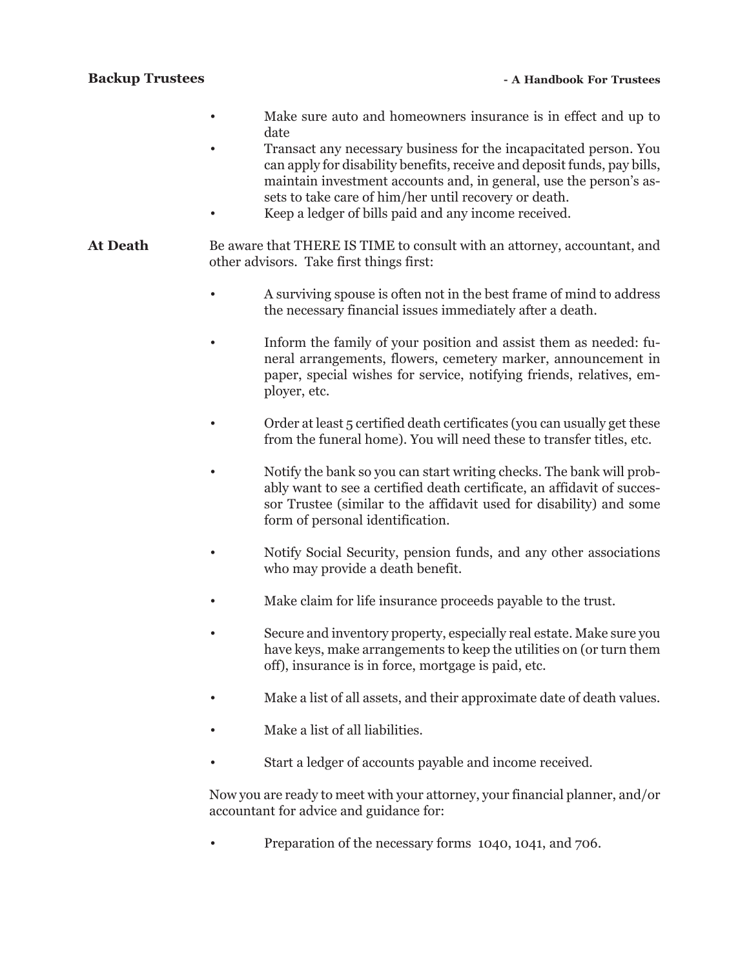### **Backup Trustees**

- Make sure auto and homeowners insurance is in effect and up to date
- Transact any necessary business for the incapacitated person. You can apply for disability benefits, receive and deposit funds, pay bills, maintain investment accounts and, in general, use the person's assets to take care of him/her until recovery or death.
- Keep a ledger of bills paid and any income received.
- **At Death** Be aware that THERE IS TIME to consult with an attorney, accountant, and other advisors. Take first things first:
	- A surviving spouse is often not in the best frame of mind to address the necessary financial issues immediately after a death.
	- Inform the family of your position and assist them as needed: funeral arrangements, flowers, cemetery marker, announcement in paper, special wishes for service, notifying friends, relatives, employer, etc.
	- Order at least 5 certified death certificates (you can usually get these from the funeral home). You will need these to transfer titles, etc.
	- Notify the bank so you can start writing checks. The bank will probably want to see a certified death certificate, an affidavit of successor Trustee (similar to the affidavit used for disability) and some form of personal identification.
	- Notify Social Security, pension funds, and any other associations who may provide a death benefit.
	- Make claim for life insurance proceeds payable to the trust.
	- Secure and inventory property, especially real estate. Make sure you have keys, make arrangements to keep the utilities on (or turn them off), insurance is in force, mortgage is paid, etc.
	- Make a list of all assets, and their approximate date of death values.
	- Make a list of all liabilities.
	- Start a ledger of accounts payable and income received.

Now you are ready to meet with your attorney, your financial planner, and/or accountant for advice and guidance for:

• Preparation of the necessary forms 1040, 1041, and 706.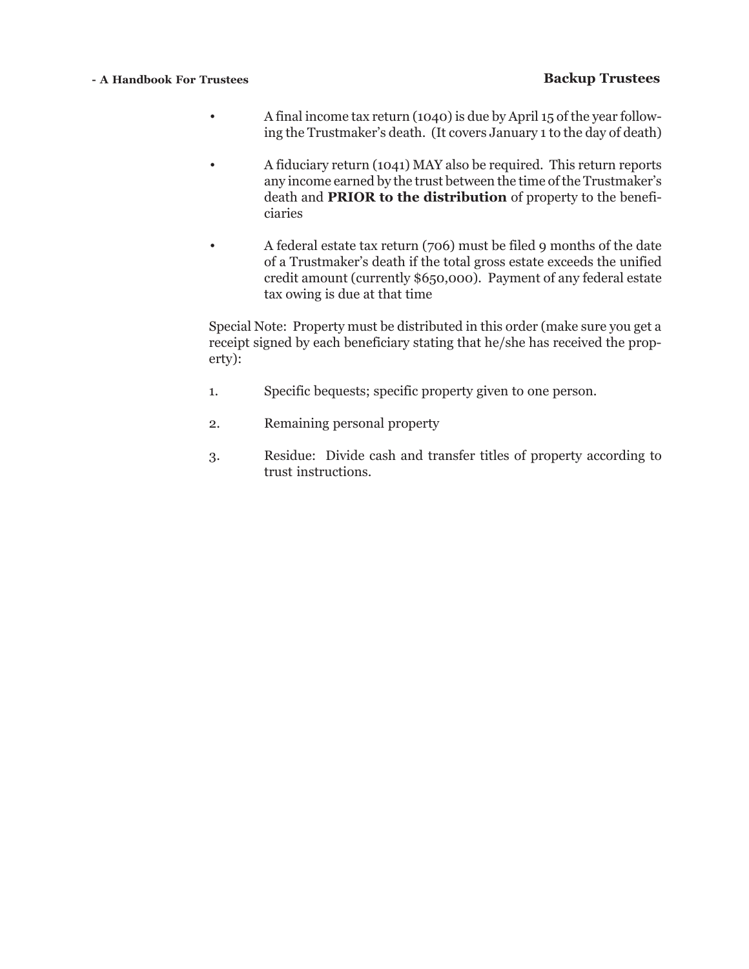### **- A Handbook For Trustees**

### **Backup Trustees**

- A final income tax return (1040) is due by April 15 of the year following the Trustmaker's death. (It covers January 1 to the day of death)
- A fiduciary return (1041) MAY also be required. This return reports any income earned by the trust between the time of the Trustmaker's death and **PRIOR to the distribution** of property to the beneficiaries
- A federal estate tax return (706) must be filed 9 months of the date of a Trustmaker's death if the total gross estate exceeds the unified credit amount (currently \$650,000). Payment of any federal estate tax owing is due at that time

Special Note: Property must be distributed in this order (make sure you get a receipt signed by each beneficiary stating that he/she has received the property):

- 1. Specific bequests; specific property given to one person.
- 2. Remaining personal property
- 3. Residue: Divide cash and transfer titles of property according to trust instructions.